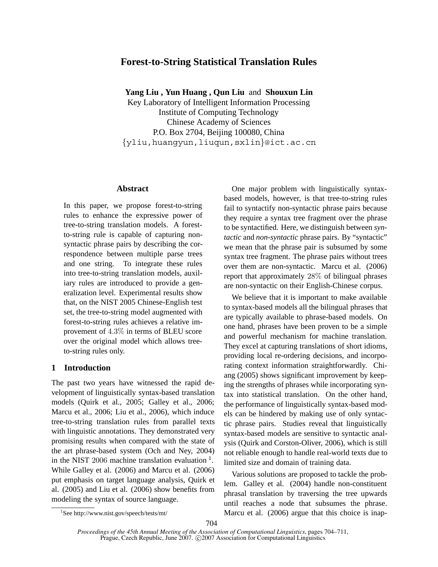# **Forest-to-String Statistical Translation Rules**

**Yang Liu , Yun Huang , Qun Liu** and **Shouxun Lin**

Key Laboratory of Intelligent Information Processing Institute of Computing Technology Chinese Academy of Sciences P.O. Box 2704, Beijing 100080, China {yliu,huangyun,liuqun,sxlin}@ict.ac.cn

# **Abstract**

In this paper, we propose forest-to-string rules to enhance the expressive power of tree-to-string translation models. A forestto-string rule is capable of capturing nonsyntactic phrase pairs by describing the correspondence between multiple parse trees and one string. To integrate these rules into tree-to-string translation models, auxiliary rules are introduced to provide a generalization level. Experimental results show that, on the NIST 2005 Chinese-English test set, the tree-to-string model augmented with forest-to-string rules achieves a relative improvement of 4.3% in terms of BLEU score over the original model which allows treeto-string rules only.

# **1 Introduction**

The past two years have witnessed the rapid development of linguistically syntax-based translation models (Quirk et al., 2005; Galley et al., 2006; Marcu et al., 2006; Liu et al., 2006), which induce tree-to-string translation rules from parallel texts with linguistic annotations. They demonstrated very promising results when compared with the state of the art phrase-based system (Och and Ney, 2004) in the NIST 2006 machine translation evaluation  $<sup>1</sup>$ .</sup> While Galley et al. (2006) and Marcu et al. (2006) put emphasis on target language analysis, Quirk et al. (2005) and Liu et al. (2006) show benefits from modeling the syntax of source language.

One major problem with linguistically syntaxbased models, however, is that tree-to-string rules fail to syntactify non-syntactic phrase pairs because they require a syntax tree fragment over the phrase to be syntactified. Here, we distinguish between *syntactic* and *non-syntactic* phrase pairs. By "syntactic" we mean that the phrase pair is subsumed by some syntax tree fragment. The phrase pairs without trees over them are non-syntactic. Marcu et al. (2006) report that approximately 28% of bilingual phrases are non-syntactic on their English-Chinese corpus.

We believe that it is important to make available to syntax-based models all the bilingual phrases that are typically available to phrase-based models. On one hand, phrases have been proven to be a simple and powerful mechanism for machine translation. They excel at capturing translations of short idioms, providing local re-ordering decisions, and incorporating context information straightforwardly. Chiang (2005) shows significant improvement by keeping the strengths of phrases while incorporating syntax into statistical translation. On the other hand, the performance of linguistically syntax-based models can be hindered by making use of only syntactic phrase pairs. Studies reveal that linguistically syntax-based models are sensitive to syntactic analysis (Quirk and Corston-Oliver, 2006), which is still not reliable enough to handle real-world texts due to limited size and domain of training data.

Various solutions are proposed to tackle the problem. Galley et al. (2004) handle non-constituent phrasal translation by traversing the tree upwards until reaches a node that subsumes the phrase. Marcu et al. (2006) argue that this choice is inap-

<sup>1</sup> See http://www.nist.gov/speech/tests/mt/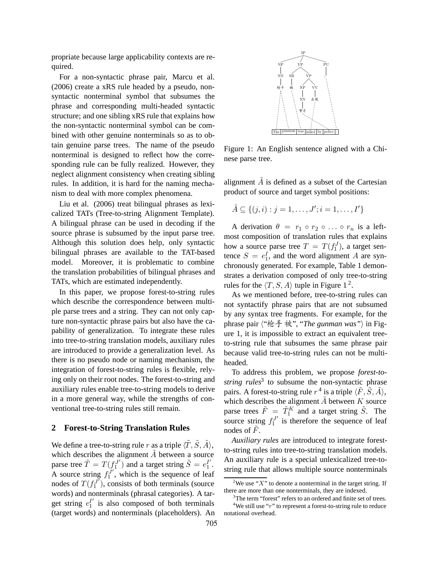propriate because large applicability contexts are required.

For a non-syntactic phrase pair, Marcu et al. (2006) create a xRS rule headed by a pseudo, nonsyntactic nonterminal symbol that subsumes the phrase and corresponding multi-headed syntactic structure; and one sibling xRS rule that explains how the non-syntactic nonterminal symbol can be combined with other genuine nonterminals so as to obtain genuine parse trees. The name of the pseudo nonterminal is designed to reflect how the corresponding rule can be fully realized. However, they neglect alignment consistency when creating sibling rules. In addition, it is hard for the naming mechanism to deal with more complex phenomena.

Liu et al. (2006) treat bilingual phrases as lexicalized TATs (Tree-to-string Alignment Template). A bilingual phrase can be used in decoding if the source phrase is subsumed by the input parse tree. Although this solution does help, only syntactic bilingual phrases are available to the TAT-based model. Moreover, it is problematic to combine the translation probabilities of bilingual phrases and TATs, which are estimated independently.

In this paper, we propose forest-to-string rules which describe the correspondence between multiple parse trees and a string. They can not only capture non-syntactic phrase pairs but also have the capability of generalization. To integrate these rules into tree-to-string translation models, auxiliary rules are introduced to provide a generalization level. As there is no pseudo node or naming mechanism, the integration of forest-to-string rules is flexible, relying only on their root nodes. The forest-to-string and auxiliary rules enable tree-to-string models to derive in a more general way, while the strengths of conventional tree-to-string rules still remain.

#### **2 Forest-to-String Translation Rules**

We define a tree-to-string rule r as a triple  $\langle \tilde{T}, \tilde{S}, \tilde{A} \rangle$ , which describes the alignment  $\tilde{A}$  between a source parse tree  $\tilde{T} = T(f_1^{J'})$  and a target string  $\tilde{S} = e_1^{I'}$ . A source string  $f_1^{J'}$ , which is the sequence of leaf nodes of  $T(f_1^{J'})$ , consists of both terminals (source words) and nonterminals (phrasal categories). A target string  $e_1^{\prime\prime}$  is also composed of both terminals (target words) and nonterminals (placeholders). An



Figure 1: An English sentence aligned with a Chinese parse tree.

alignment  $\tilde{A}$  is defined as a subset of the Cartesian product of source and target symbol positions:

$$
\tilde{A} \subseteq \{(j,i): j = 1,\ldots,J'; i = 1,\ldots,I'\}
$$

A derivation  $\theta = r_1 \circ r_2 \circ \dots \circ r_n$  is a leftmost composition of translation rules that explains how a source parse tree  $T = T(f_1^J)$ , a target sentence  $S = e_1^I$ , and the word alignment A are synchronously generated. For example, Table 1 demonstrates a derivation composed of only tree-to-string rules for the  $\langle T, S, A \rangle$  tuple in Figure 1<sup>2</sup>.

As we mentioned before, tree-to-string rules can not syntactify phrase pairs that are not subsumed by any syntax tree fragments. For example, for the phrase pair 〈"枪手 被", "*The gunman was"*〉 in Figure 1, it is impossible to extract an equivalent treeto-string rule that subsumes the same phrase pair because valid tree-to-string rules can not be multiheaded.

To address this problem, we propose *forest-tostring rules*<sup>3</sup> to subsume the non-syntactic phrase pairs. A forest-to-string rule  $r^4$  is a triple  $\langle \tilde{F}, \tilde{S}, \tilde{A} \rangle$ , which describes the alignment  $\tilde{A}$  between K source parse trees  $\tilde{F} = \tilde{T}_1^K$  and a target string  $\tilde{S}$ . The source string  $f_1^{J'}$  is therefore the sequence of leaf nodes of  $F$ .

*Auxiliary rules* are introduced to integrate forestto-string rules into tree-to-string translation models. An auxiliary rule is a special unlexicalized tree-tostring rule that allows multiple source nonterminals

<sup>&</sup>lt;sup>2</sup>We use "X" to denote a nonterminal in the target string. If there are more than one nonterminals, they are indexed.

<sup>&</sup>lt;sup>3</sup>The term "forest" refers to an ordered and finite set of trees.

<sup>&</sup>lt;sup>4</sup>We still use "r" to represent a forest-to-string rule to reduce notational overhead.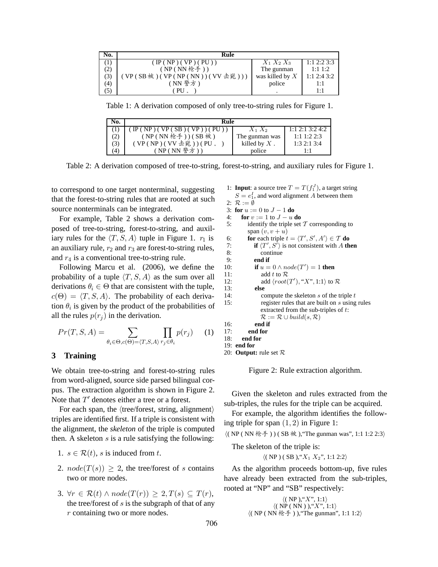| No. | Rule                        |                   |               |
|-----|-----------------------------|-------------------|---------------|
|     | ( IP(NP) ( VP) ( PU))       | $X_1 X_2 X_3$     | 1:12:23:3     |
| (2) | (NP(NN枪手))                  | The gunman        | $1:1\;1:2$    |
| (3) | (VP(SB被)(VP(NP(NN))(VV击毙))) | was killed by $X$ | $1:1$ 2:4 3:2 |
| (4) | ( NN 警方 )                   | police            | 1:1           |
| (5) | PU                          |                   | $1 \cdot 1$   |

Table 1: A derivation composed of only tree-to-string rules for Figure 1.

| No.              | Rule                    |                 |                   |
|------------------|-------------------------|-----------------|-------------------|
|                  | IP(NP)(VP(SB)(VP)) (PU) | $X_1 X_2$       | $1:1$ 2:1 3:2 4:2 |
| (2)              | $(NP(NN \n& f))$ (SB 被) | The gunman was  | $1:1\;1:2\;2:3$   |
| (3)              | (VP(NP)(VV 去毙))(PU.     | killed by $X$ . | 1:32:13:4         |
| $\left(4\right)$ | (NP(NN 警方))             | police          | $1 \cdot 1$       |

Table 2: A derivation composed of tree-to-string, forest-to-string, and auxiliary rules for Figure 1.

to correspond to one target nonterminal, suggesting that the forest-to-string rules that are rooted at such source nonterminals can be integrated.

For example, Table 2 shows a derivation composed of tree-to-string, forest-to-string, and auxiliary rules for the  $\langle T, S, A \rangle$  tuple in Figure 1.  $r_1$  is an auxiliary rule,  $r_2$  and  $r_3$  are forest-to-string rules, and  $r_4$  is a conventional tree-to-string rule.

Following Marcu et al. (2006), we define the probability of a tuple  $\langle T, S, A \rangle$  as the sum over all derivations  $\theta_i \in \Theta$  that are consistent with the tuple,  $c(\Theta) = \langle T, S, A \rangle$ . The probability of each derivation  $\theta_i$  is given by the product of the probabilities of all the rules  $p(r_i)$  in the derivation.

$$
Pr(T, S, A) = \sum_{\theta_i \in \Theta, c(\Theta) = \langle T, S, A \rangle} \prod_{r_j \in \theta_i} p(r_j) \tag{1}
$$

# **3 Training**

We obtain tree-to-string and forest-to-string rules from word-aligned, source side parsed bilingual corpus. The extraction algorithm is shown in Figure 2. Note that  $T'$  denotes either a tree or a forest.

For each span, the  $\langle$ tree/forest, string, alignment $\rangle$ triples are identified first. If a triple is consistent with the alignment, the *skeleton* of the triple is computed then. A skeleton  $s$  is a rule satisfying the following:

- 1.  $s \in \mathcal{R}(t)$ , s is induced from t.
- 2.  $node(T(s)) \geq 2$ , the tree/forest of s contains two or more nodes.
- 3.  $\forall r \in \mathcal{R}(t) \land node(T(r)) \geq 2, T(s) \subseteq T(r)$ , the tree/forest of  $s$  is the subgraph of that of any r containing two or more nodes.

1: **Input**: a source tree 
$$
T = T(f_1^J)
$$
, a target string

 $S = e_1^I$ , and word alignment A between them

2:  $\mathcal{R} := \emptyset$ 3: **for**  $u := 0$  to  $J - 1$  **do** 

4: **for**  $v := 1$  to  $J - u$  **do** 

```
5: identify the triple set T corresponding to
       span (v, v + u)
```

```
6: for each triple t = \langle T', S', A' \rangle \in T do
```

```
7: if \langle T', S' \rangle is not consistent with A then
```

```
8: continue
```

```
9: end if 10: if u =10: if u = 0 \land node(T') = 1 then
```

```
11: add t to \mathcal{R}
```

```
12: add \langle root(T'), "X", 1:1 \rangle to \mathcal{R}
```

```
13: else
14: compute the skeleton s of the triple t15: register rules that are built on s using rules
              extracted from the sub-triples of t:
              \mathcal{R} := \mathcal{R} \cup \mathit{build}(s, \mathcal{R})16: end if
```

```
17: end for
18: end for
```

```
19: end for
```
20: **Output:** rule set R

Figure 2: Rule extraction algorithm.

Given the skeleton and rules extracted from the sub-triples, the rules for the triple can be acquired.

For example, the algorithm identifies the following triple for span  $(1, 2)$  in Figure 1:

 $\langle ( NP(NN \nmid \hat{f}^2)) ( SB \nmid \hat{f}^2), 'The gunman was', 1:1 1:2 2:3 \rangle$ 

The skeleton of the triple is:

 $\langle (NP) (SB), "X_1 X_2", 1:1 2:2 \rangle$ 

As the algorithm proceeds bottom-up, five rules have already been extracted from the sub-triples, rooted at "NP" and "SB" respectively:

```
\langle (NP), "X", 1:1 \rangle\langle (N\hat{P}(NN)), "X", 1:1 \rangle\langle ( NP(NN \nmid \nbrace{ \pm 1 }, ), "The gunman", 1:1 1:2)
```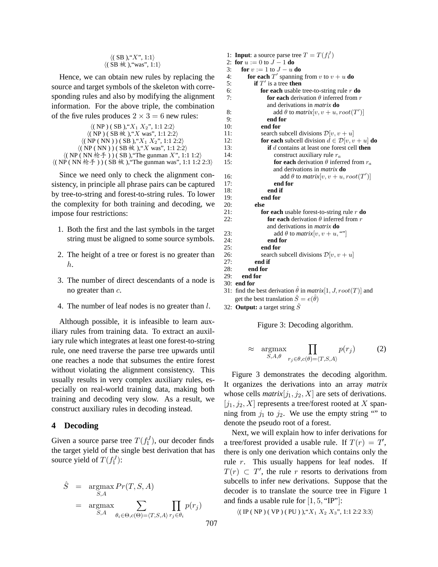| $\langle$ (SB), "X", 1:1 $\rangle$ |  |
|------------------------------------|--|
| ((SB 被), "was", 1:1)               |  |

Hence, we can obtain new rules by replacing the source and target symbols of the skeleton with corresponding rules and also by modifying the alignment information. For the above triple, the combination of the five rules produces  $2 \times 3 = 6$  new rules:

```
\langle (NP) (SB), "X_1 X_2", 1:1 2:2 \rangle\langle (NP)(SB \nmid x), "X was", 1:1 2:2 \rangle\langle (NP(NN)) (SB), "X_1 X_2", 1:1 2:2 \rangle\langle (NP(NN)) (SB \n} \n\& (N, "X was", 1:1 2:2)\langle (NP(NN\ \&\ \hat{f}))) (SB), "The gunman X", 1:1 1:2)
\langle ( NP(NN \&F)) ( SB \n{ <math>\&amp;</math> ), "The gunman was", 1:1 1:2 2:3 \rangle
```
Since we need only to check the alignment consistency, in principle all phrase pairs can be captured by tree-to-string and forest-to-string rules. To lower the complexity for both training and decoding, we impose four restrictions:

- 1. Both the first and the last symbols in the target string must be aligned to some source symbols.
- 2. The height of a tree or forest is no greater than h.
- 3. The number of direct descendants of a node is no greater than c.
- 4. The number of leaf nodes is no greater than l.

Although possible, it is infeasible to learn auxiliary rules from training data. To extract an auxiliary rule which integrates at least one forest-to-string rule, one need traverse the parse tree upwards until one reaches a node that subsumes the entire forest without violating the alignment consistency. This usually results in very complex auxiliary rules, especially on real-world training data, making both training and decoding very slow. As a result, we construct auxiliary rules in decoding instead.

#### **4 Decoding**

Given a source parse tree  $T(f_1^J)$ , our decoder finds the target yield of the single best derivation that has source yield of  $T(f_1^J)$ :

$$
\hat{S} = \underset{S, A}{\text{argmax}} Pr(T, S, A)
$$

$$
= \underset{S, A}{\text{argmax}} \sum_{\theta_i \in \Theta, c(\Theta) = \langle T, S, A \rangle} \prod_{r_j \in \theta_i} p(r_j)
$$

1: **Input**: a source parse tree  $T = T(f_1^J)$ 2: **for**  $u := 0$  to  $J - 1$  **do** 3: **for**  $v := 1$  to  $J - u$  **do**<br>4: **for each**  $T'$  spanning 4: **for each**  $T'$  spanning from v to  $v + u$  **do** 5: **if**  $T'$  is a tree **then** 6: **for each** usable tree-to-string rule r **do** 7: **for each** derivation  $\theta$  inferred from r and derivations in *matrix* **do** 8: add  $\theta$  to  $matrix[v, v + u, root(T')]$ 9: **end for** 10: **end for** 11: search subcell divisions  $\mathcal{D}[v, v + u]$ 12: **for each** subcell division  $d \in \mathcal{D}[v, v + u]$  **do** 13: **if** d contains at least one forest cell **then** 14: construct auxiliary rule r*<sup>a</sup>* 15: **for each** derivation  $\theta$  inferred from  $r_a$ and derivations in *matrix* **do** 16: add  $\theta$  to  $matrix[v, v + u, root(T')]$ 17: **end for** 18: **end if** 19: **end for** 20: **else** for each usable forest-to-string rule  $r$  do 22: **for each** derivation  $\theta$  inferred from r and derivations in *matrix* **do** 23: add  $\theta$  to *matrix*[v, v + u, ""]<br>24: **end for** 24: **end for** 25: **end for** search subcell divisions  $\mathcal{D}[v, v + u]$ 27: **end if** 28: **end for** 29: **end for** 30: **end for**

31: find the best derivation  $\hat{\theta}$  in *matrix*[1, *J*,  $root(T)$ ] and get the best translation  $\hat{S} = e(\hat{\theta})$ 

32: **Output:** a target string  $\hat{S}$ 

Figure 3: Decoding algorithm.

$$
\approx \underset{S, A, \theta}{\text{argmax}} \prod_{r_j \in \theta, c(\theta) = \langle T, S, A \rangle} p(r_j) \tag{2}
$$

Figure 3 demonstrates the decoding algorithm. It organizes the derivations into an array *matrix* whose cells  $matrix[j_1,j_2,X]$  are sets of derivations.  $[j_1,j_2,X]$  represents a tree/forest rooted at X spanning from  $j_1$  to  $j_2$ . We use the empty string "" to denote the pseudo root of a forest.

Next, we will explain how to infer derivations for a tree/forest provided a usable rule. If  $T(r) = T$ , there is only one derivation which contains only the rule  $r$ . This usually happens for leaf nodes. If  $T(r) \subset T'$ , the rule r resorts to derivations from subcells to infer new derivations. Suppose that the decoder is to translate the source tree in Figure 1 and finds a usable rule for  $[1, 5, "IP"]$ :

 $\langle (IP(NP)(VP)(PU)), "X_1 X_2 X_3", 1:1 2:2 3:3 \rangle$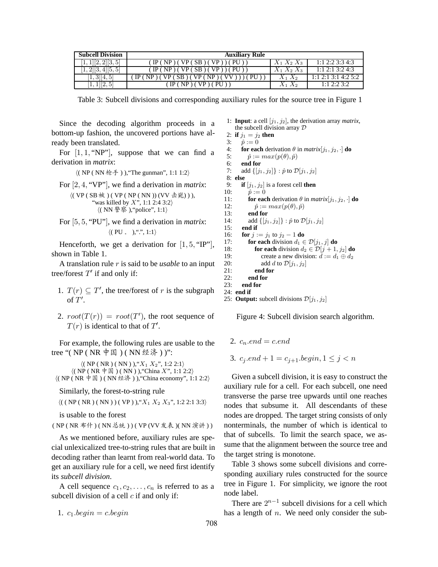| <b>Subcell Division</b>    | <b>Auxiliary Rule</b>           |               |                         |
|----------------------------|---------------------------------|---------------|-------------------------|
| [1, 1][2, 2][3, 5]         | ( IP(NP) ( VP(SB) ( VP)) ( PU)) | $X_1 X_2 X_3$ | 1:1 2:2 3:3 4:3         |
| $[1, 2]$ $[3, 4]$ $[5, 5]$ | ( IP(NP) ( VP(SB) ( VP)) ( PU)) | $X_1 X_2 X_3$ | $1:1\ 2:1\ 3:2\ 4:3$    |
| [1,3][4,5]                 | IP(NP)<br>$SB$ )(<br>VP ( NP    | $X_1\,X_2$    | 1:1, 2:1, 3:1, 4:2, 5:2 |
| 1 2,5                      | $'$ IP ( NP ) ( VP ) ( PU ).    | $X_1 X_2$     | 1:12:23:2               |

Table 3: Subcell divisions and corresponding auxiliary rules for the source tree in Figure 1

Since the decoding algorithm proceeds in a bottom-up fashion, the uncovered portions have already been translated.

For  $[1, 1, "NP"]$ , suppose that we can find a derivation in *matrix*:

 $\langle ( NP(NN \nmid \nbrace{ \mathcal{F} } ) )$ , "The gunman", 1:1 1:2 $\rangle$ 

For [2, 4, "VP"], we find a derivation in *matrix*:

$$
\langle (\text{ VP} (\text{ SB } \text{被} ) (\text{ VP} (\text{ NP} (\text{ NN} )) (\text{VV} \pm \text{)}),
$$
  
"was killed by X", 1:1 2:4 3:2)  
 
$$
\langle (\text{ NN } \text{ * } \text{ % } ),
$$
 "policy", 1:1)

For [5, 5, "PU"], we find a derivation in *matrix*:  $\langle (PU, \cdot), "". \cdot, 1:1 \rangle$ 

Henceforth, we get a derivation for  $[1, 5, "IP$ "], shown in Table 1.

A translation rule r is said to be *usable* to an input tree/forest  $T'$  if and only if:

- 1.  $T(r) \subseteq T'$ , the tree/forest of r is the subgraph of  $T^{\prime}$ .
- 2.  $root(T(r)) = root(T')$ , the root sequence of  $T(r)$  is identical to that of  $T'$ .

For example, the following rules are usable to the tree "( NP ( NR 中国 ) ( NN 经济 ) )":

 $\langle (NP ( NR) ( NN) ), "X<sub>1</sub> X<sub>2</sub>", 1:2 2:1 \rangle$  $\langle ( NP ( NR \not\equiv \mathbb{R}) ( NN )$ ), "China X", 1:12:2)  $\langle (NP(NR \not\equiv \mathbb{E}) (NN \nleq \aleph)$ , "China economy", 1:1 2:2 $\rangle$ 

Similarly, the forest-to-string rule

 $\langle ( ( NP ( NR) ( NN) ) ( VP) ), "X<sub>1</sub> X<sub>2</sub> X<sub>3</sub>", 1:2 2:1 3:3 \rangle$ 

is usable to the forest

( NP ( NR 布什 )( NN 总统 ) )( VP (VV 发表 )( NN 演讲 ) )

As we mentioned before, auxiliary rules are special unlexicalized tree-to-string rules that are built in decoding rather than learnt from real-world data. To get an auxiliary rule for a cell, we need first identify its *subcell division*.

A cell sequence  $c_1, c_2, \ldots, c_n$  is referred to as a subcell division of a cell  $c$  if and only if:

1.  $c_1 \nbeq in = c \nbeq in$ 

1: **Input**: a cell  $[j_1, j_2]$ , the derivation array *matrix*, the subcell division array D

2: **if**  $j_1 = j_2$  **then** 

3:  $\hat{p} := 0$ 4: **for each** derivation  $\theta$  in *matrix*[ $j_1, j_2, \cdot$ ] **do**<br>5:  $\hat{p} := max(p(\theta), \hat{p})$  $\hat{p} := max(p(\theta), \hat{p})$ 

6: **end for**<br>7: **add**  $\{[\,i_1\,]$ add  $\{[j_1, j_2]\} : \hat{p}$  to  $\mathcal{D}[j_1, j_2]$ 

8: **else** 9: **if**  $[i_1, j_2]$  is a forest cell **then** 

9: If 
$$
[j_1, j_2]
$$
 is a forest cell then  
10:  $\hat{p} := 0$ 

11: **for each** derivation  $\theta$  in *matrix*[j<sub>1</sub>, j<sub>2</sub>, ·] **do**<br>12:  $\hat{p} := max(p(\theta), \hat{p})$  $\hat{p} := max(p(\theta), \hat{p})$ 13: **end for** 14: add  $\{[j_1, j_2]\} : \hat{p}$  to  $\mathcal{D}[j_1, j_2]$ <br>15: **end if** 15: **end if** 16: **for**  $j := j_1$  to  $j_2 - 1$  **do** 17: **for each** division  $d_1 \in \mathcal{D}[j_1, j]$  **do** 

```
18: for each division d_2 \in \mathcal{D}[j + 1, j_2] do<br>19: create a new division: d := d_1 \oplus d_219: create a new division: d := d_1 \oplus d_2<br>20: add d to \mathcal{D}[j_1, j_2]
```

```
20: add d to \mathcal{D}[j_1, j_2]<br>21: end for
                 end for
22: end for<br>23 end for
```

```
end for
```

```
24: end if
```
25: **Output:** subcell divisions  $\mathcal{D}[j_1, j_2]$ 

Figure 4: Subcell division search algorithm.

2.  $c_n$  end = c.end

```
3. c_i end +1 = c_{i+1}.begin, 1 \leq j \leq n
```
 ) ) nonterminals, the number of which is identical to Given a subcell division, it is easy to construct the auxiliary rule for a cell. For each subcell, one need transverse the parse tree upwards until one reaches nodes that subsume it. All descendants of these nodes are dropped. The target string consists of only that of subcells. To limit the search space, we assume that the alignment between the source tree and the target string is monotone.

Table 3 shows some subcell divisions and corresponding auxiliary rules constructed for the source tree in Figure 1. For simplicity, we ignore the root node label.

There are  $2^{n-1}$  subcell divisions for a cell which has a length of  $n$ . We need only consider the sub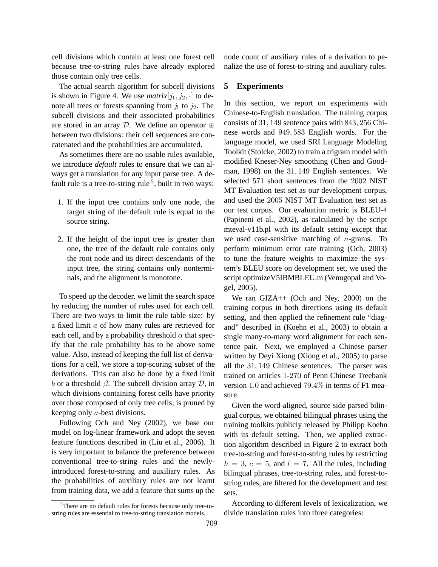cell divisions which contain at least one forest cell because tree-to-string rules have already explored those contain only tree cells.

The actual search algorithm for subcell divisions is shown in Figure 4. We use  $matrix[j_1,j_2, \cdot]$  to denote all trees or forests spanning from  $j_1$  to  $j_2$ . The subcell divisions and their associated probabilities are stored in an array D. We define an operator  $\oplus$ between two divisions: their cell sequences are concatenated and the probabilities are accumulated.

As sometimes there are no usable rules available, we introduce *default* rules to ensure that we can always get a translation for any input parse tree. A default rule is a tree-to-string rule<sup>5</sup>, built in two ways:

- 1. If the input tree contains only one node, the target string of the default rule is equal to the source string.
- 2. If the height of the input tree is greater than one, the tree of the default rule contains only the root node and its direct descendants of the input tree, the string contains only nonterminals, and the alignment is monotone.

To speed up the decoder, we limit the search space by reducing the number of rules used for each cell. There are two ways to limit the rule table size: by a fixed limit a of how many rules are retrieved for each cell, and by a probability threshold  $\alpha$  that specify that the rule probability has to be above some value. Also, instead of keeping the full list of derivations for a cell, we store a top-scoring subset of the derivations. This can also be done by a fixed limit b or a threshold  $\beta$ . The subcell division array  $\mathcal{D}$ , in which divisions containing forest cells have priority over those composed of only tree cells, is pruned by keeping only a-best divisions.

Following Och and Ney (2002), we base our model on log-linear framework and adopt the seven feature functions described in (Liu et al., 2006). It is very important to balance the preference between conventional tree-to-string rules and the newlyintroduced forest-to-string and auxiliary rules. As the probabilities of auxiliary rules are not learnt from training data, we add a feature that sums up the node count of auxiliary rules of a derivation to penalize the use of forest-to-string and auxiliary rules.

# **5 Experiments**

In this section, we report on experiments with Chinese-to-English translation. The training corpus consists of 31, 149 sentence pairs with 843, 256 Chinese words and 949, 583 English words. For the language model, we used SRI Language Modeling Toolkit (Stolcke, 2002) to train a trigram model with modified Kneser-Ney smoothing (Chen and Goodman, 1998) on the 31, 149 English sentences. We selected 571 short sentences from the 2002 NIST MT Evaluation test set as our development corpus, and used the 2005 NIST MT Evaluation test set as our test corpus. Our evaluation metric is BLEU-4 (Papineni et al., 2002), as calculated by the script mteval-v11b.pl with its default setting except that we used case-sensitive matching of  $n$ -grams. To perform minimum error rate training (Och, 2003) to tune the feature weights to maximize the system's BLEU score on development set, we used the script optimizeV5IBMBLEU.m (Venugopal and Vogel, 2005).

We ran GIZA++ (Och and Ney, 2000) on the training corpus in both directions using its default setting, and then applied the refinement rule "diagand" described in (Koehn et al., 2003) to obtain a single many-to-many word alignment for each sentence pair. Next, we employed a Chinese parser written by Deyi Xiong (Xiong et al., 2005) to parse all the 31, 149 Chinese sentences. The parser was trained on articles 1-270 of Penn Chinese Treebank version 1.0 and achieved 79.4% in terms of F1 measure.

Given the word-aligned, source side parsed bilingual corpus, we obtained bilingual phrases using the training toolkits publicly released by Philipp Koehn with its default setting. Then, we applied extraction algorithm described in Figure 2 to extract both tree-to-string and forest-to-string rules by restricting  $h = 3$ ,  $c = 5$ , and  $l = 7$ . All the rules, including bilingual phrases, tree-to-string rules, and forest-tostring rules, are filtered for the development and test sets.

According to different levels of lexicalization, we divide translation rules into three categories:

<sup>&</sup>lt;sup>5</sup>There are no default rules for forests because only tree-tostring rules are essential to tree-to-string translation models.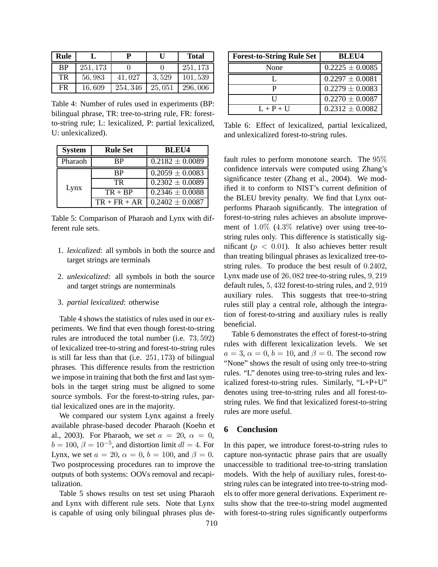| Rule      |          | р        | ПI     | <b>Total</b> |
|-----------|----------|----------|--------|--------------|
| <b>BP</b> | 251, 173 |          |        | 251, 173     |
| TR        | 56,983   | 41,027   | 3.529  | 101,539      |
| <b>FR</b> | 16.609   | 254, 346 | 25,051 | 296,006      |

Table 4: Number of rules used in experiments (BP: bilingual phrase, TR: tree-to-string rule, FR: forestto-string rule; L: lexicalized, P: partial lexicalized, U: unlexicalized).

| <b>System</b> | <b>Rule Set</b> | <b>BLEU4</b>        |
|---------------|-----------------|---------------------|
| Pharaoh       | ВP              | $0.2182 \pm 0.0089$ |
|               | <b>RP</b>       | $0.2059 \pm 0.0083$ |
| Lynx          | <b>TR</b>       | $0.2302 \pm 0.0089$ |
|               | $TR + BP$       | $0.2346 \pm 0.0088$ |
|               | $TR + FR + AR$  | $0.2402 \pm 0.0087$ |

Table 5: Comparison of Pharaoh and Lynx with different rule sets.

- 1. *lexicalized*: all symbols in both the source and target strings are terminals
- 2. *unlexicalized*: all symbols in both the source and target strings are nonterminals
- 3. *partial lexicalized*: otherwise

Table 4 shows the statistics of rules used in our experiments. We find that even though forest-to-string rules are introduced the total number (i.e. 73, 592) of lexicalized tree-to-string and forest-to-string rules is still far less than that (i.e. 251, 173) of bilingual phrases. This difference results from the restriction we impose in training that both the first and last symbols in the target string must be aligned to some source symbols. For the forest-to-string rules, partial lexicalized ones are in the majority.

We compared our system Lynx against a freely available phrase-based decoder Pharaoh (Koehn et al., 2003). For Pharaoh, we set  $a = 20$ ,  $\alpha = 0$ ,  $b = 100$ ,  $\beta = 10^{-5}$ , and distortion limit  $dl = 4$ . For Lynx, we set  $a = 20$ ,  $\alpha = 0$ ,  $b = 100$ , and  $\beta = 0$ . Two postprocessing procedures ran to improve the outputs of both systems: OOVs removal and recapitalization.

Table 5 shows results on test set using Pharaoh and Lynx with different rule sets. Note that Lynx is capable of using only bilingual phrases plus de-

| <b>Forest-to-String Rule Set</b> | <b>BLEU4</b>        |
|----------------------------------|---------------------|
| None                             | $0.2225 \pm 0.0085$ |
|                                  | $0.2297 \pm 0.0081$ |
|                                  | $0.2279 \pm 0.0083$ |
| IΙ                               | $0.2270 \pm 0.0087$ |
| $L + P + U$                      | $0.2312 \pm 0.0082$ |

Table 6: Effect of lexicalized, partial lexicalized, and unlexicalized forest-to-string rules.

fault rules to perform monotone search. The 95% confidence intervals were computed using Zhang's significance tester (Zhang et al., 2004). We modified it to conform to NIST's current definition of the BLEU brevity penalty. We find that Lynx outperforms Pharaoh significantly. The integration of forest-to-string rules achieves an absolute improvement of 1.0% (4.3% relative) over using tree-tostring rules only. This difference is statistically significant ( $p < 0.01$ ). It also achieves better result than treating bilingual phrases as lexicalized tree-tostring rules. To produce the best result of 0.2402, Lynx made use of 26, 082 tree-to-string rules, 9, 219 default rules, 5, 432 forest-to-string rules, and 2, 919 auxiliary rules. This suggests that tree-to-string rules still play a central role, although the integration of forest-to-string and auxiliary rules is really beneficial.

Table 6 demonstrates the effect of forest-to-string rules with different lexicalization levels. We set  $a = 3, \alpha = 0, b = 10, \text{ and } \beta = 0$ . The second row "None" shows the result of using only tree-to-string rules. "L" denotes using tree-to-string rules and lexicalized forest-to-string rules. Similarly, "L+P+U" denotes using tree-to-string rules and all forest-tostring rules. We find that lexicalized forest-to-string rules are more useful.

# **6 Conclusion**

In this paper, we introduce forest-to-string rules to capture non-syntactic phrase pairs that are usually unaccessible to traditional tree-to-string translation models. With the help of auxiliary rules, forest-tostring rules can be integrated into tree-to-string models to offer more general derivations. Experiment results show that the tree-to-string model augmented with forest-to-string rules significantly outperforms